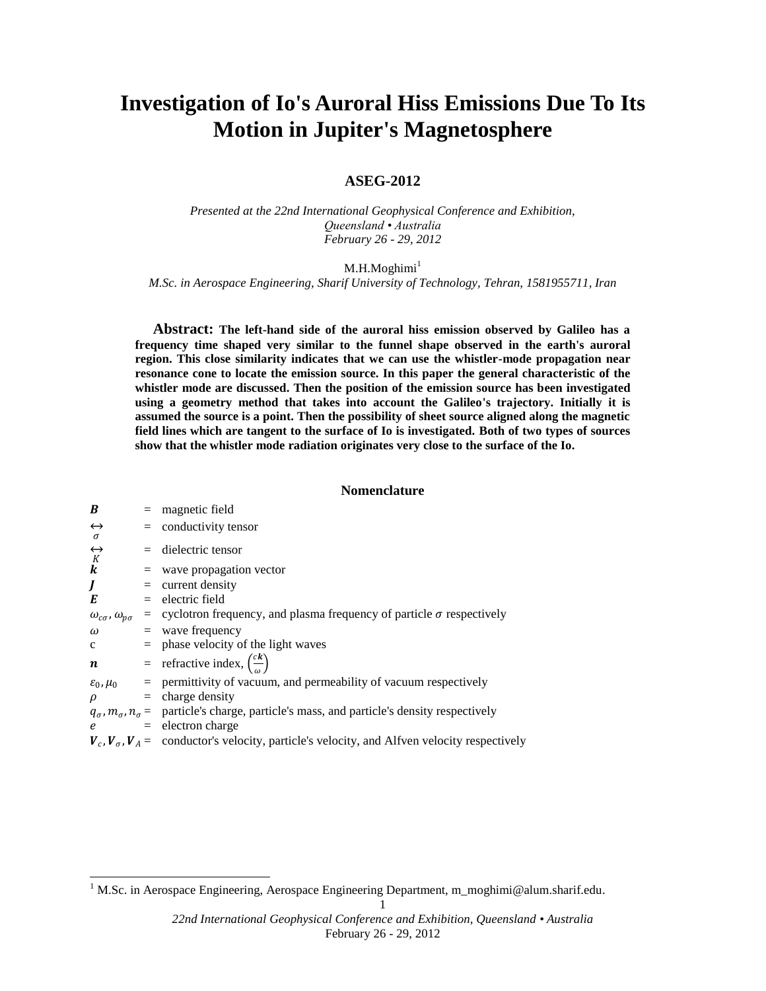# **Investigation of Io's Auroral Hiss Emissions Due To Its Motion in Jupiter's Magnetosphere**

# **ASEG-2012**

*Presented at the 22nd International Geophysical Conference and Exhibition, Queensland • Australia February 26 - 29, 2012*

 $M.H.M$ oghimi $<sup>1</sup>$ </sup>

*M.Sc. in Aerospace Engineering, Sharif University of Technology, Tehran, 1581955711, Iran*

**Abstract: The left-hand side of the auroral hiss emission observed by Galileo has a frequency time shaped very similar to the funnel shape observed in the earth's auroral region. This close similarity indicates that we can use the whistler-mode propagation near resonance cone to locate the emission source. In this paper the general characteristic of the whistler mode are discussed. Then the position of the emission source has been investigated using a geometry method that takes into account the Galileo's trajectory. Initially it is assumed the source is a point. Then the possibility of sheet source aligned along the magnetic field lines which are tangent to the surface of Io is investigated. Both of two types of sources show that the whistler mode radiation originates very close to the surface of the Io.**

## **Nomenclature**

| B                                       | $=$ magnetic field                                                                                                   |
|-----------------------------------------|----------------------------------------------------------------------------------------------------------------------|
| $\leftrightarrow$                       | $=$ conductivity tensor                                                                                              |
| $\sigma$<br>$K \nK$                     | $=$ dielectric tensor                                                                                                |
| $\boldsymbol{k}$                        | $=$ wave propagation vector                                                                                          |
| J                                       | $=$ current density                                                                                                  |
| E                                       | $=$ electric field                                                                                                   |
| $\omega_{c\sigma}$ , $\omega_{p\sigma}$ | $=$ cyclotron frequency, and plasma frequency of particle $\sigma$ respectively                                      |
| $\omega$ and $\omega$                   | $=$ wave frequency                                                                                                   |
| $\mathbf{c}$                            | $=$ phase velocity of the light waves                                                                                |
|                                         | $\boldsymbol{n}$ = refractive index, $\left(\frac{ck}{a}\right)$                                                     |
|                                         | $\varepsilon_0$ , $\mu_0$ = permittivity of vacuum, and permeability of vacuum respectively                          |
| $\rho$                                  | $=$ charge density                                                                                                   |
|                                         | $q_{\sigma}$ , $m_{\sigma}$ , $n_{\sigma}$ = particle's charge, particle's mass, and particle's density respectively |
| $\epsilon$                              | $=$ electron charge                                                                                                  |
|                                         | $V_c$ , $V_a$ , $V_A$ = conductor's velocity, particle's velocity, and Alfven velocity respectively                  |

 $\overline{a}$ 

<sup>&</sup>lt;sup>1</sup> M.Sc. in Aerospace Engineering, Aerospace Engineering Department, m\_moghimi@alum.sharif.edu.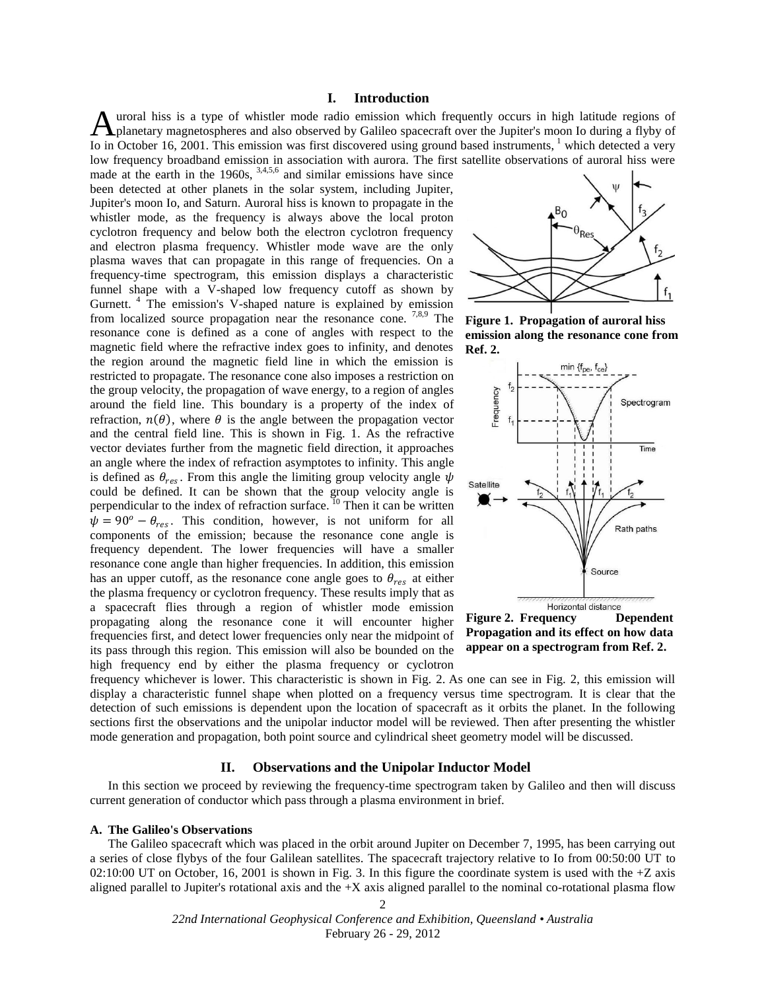## **I. Introduction**

uroral hiss is a type of whistler mode radio emission which frequently occurs in high latitude regions of A uroral hiss is a type of whistler mode radio emission which frequently occurs in high latitude regions of planetary magnetospheres and also observed by Galileo spacecraft over the Jupiter's moon Io during a flyby of Io in October 16, 2001. This emission was first discovered using ground based instruments, <sup>1</sup> which detected a very low frequency broadband emission in association with aurora. The first satellite observations of auroral hiss were

made at the earth in the  $1960s$ ,  $3,4,5,6$  and similar emissions have since been detected at other planets in the solar system, including Jupiter, Jupiter's moon Io, and Saturn. Auroral hiss is known to propagate in the whistler mode, as the frequency is always above the local proton cyclotron frequency and below both the electron cyclotron frequency and electron plasma frequency. Whistler mode wave are the only plasma waves that can propagate in this range of frequencies. On a frequency-time spectrogram, this emission displays a characteristic funnel shape with a V-shaped low frequency cutoff as shown by Gurnett.<sup>4</sup> The emission's V-shaped nature is explained by emission from localized source propagation near the resonance cone.  $7,8,9$  The resonance cone is defined as a cone of angles with respect to the magnetic field where the refractive index goes to infinity, and denotes the region around the magnetic field line in which the emission is restricted to propagate. The resonance cone also imposes a restriction on the group velocity, the propagation of wave energy, to a region of angles around the field line. This boundary is a property of the index of refraction,  $n(\theta)$ , where  $\theta$  is the angle between the propagation vector and the central field line. This is shown in Fig. 1. As the refractive vector deviates further from the magnetic field direction, it approaches an angle where the index of refraction asymptotes to infinity. This angle is defined as  $\theta_{res}$ . From this angle the limiting group velocity angle  $\psi$ could be defined. It can be shown that the group velocity angle is perpendicular to the index of refraction surface. <sup>10</sup> Then it can be written  $\psi = 90^\circ - \theta_{res}$ . This condition, however, is not uniform for all components of the emission; because the resonance cone angle is frequency dependent. The lower frequencies will have a smaller resonance cone angle than higher frequencies. In addition, this emission has an upper cutoff, as the resonance cone angle goes to  $\theta_{res}$  at either the plasma frequency or cyclotron frequency. These results imply that as a spacecraft flies through a region of whistler mode emission propagating along the resonance cone it will encounter higher frequencies first, and detect lower frequencies only near the midpoint of its pass through this region. This emission will also be bounded on the high frequency end by either the plasma frequency or cyclotron



**Figure 1. Propagation of auroral hiss emission along the resonance cone from Ref. 2.**



**Figure 2. Frequency Dependent Propagation and its effect on how data appear on a spectrogram from Ref. 2.**

frequency whichever is lower. This characteristic is shown in Fig. 2. As one can see in Fig. 2, this emission will display a characteristic funnel shape when plotted on a frequency versus time spectrogram. It is clear that the detection of such emissions is dependent upon the location of spacecraft as it orbits the planet. In the following sections first the observations and the unipolar inductor model will be reviewed. Then after presenting the whistler mode generation and propagation, both point source and cylindrical sheet geometry model will be discussed.

# **II. Observations and the Unipolar Inductor Model**

In this section we proceed by reviewing the frequency-time spectrogram taken by Galileo and then will discuss current generation of conductor which pass through a plasma environment in brief.

#### **A. The Galileo's Observations**

The Galileo spacecraft which was placed in the orbit around Jupiter on December 7, 1995, has been carrying out a series of close flybys of the four Galilean satellites. The spacecraft trajectory relative to Io from 00:50:00 UT to 02:10:00 UT on October, 16, 2001 is shown in Fig. 3. In this figure the coordinate system is used with the +Z axis aligned parallel to Jupiter's rotational axis and the +X axis aligned parallel to the nominal co-rotational plasma flow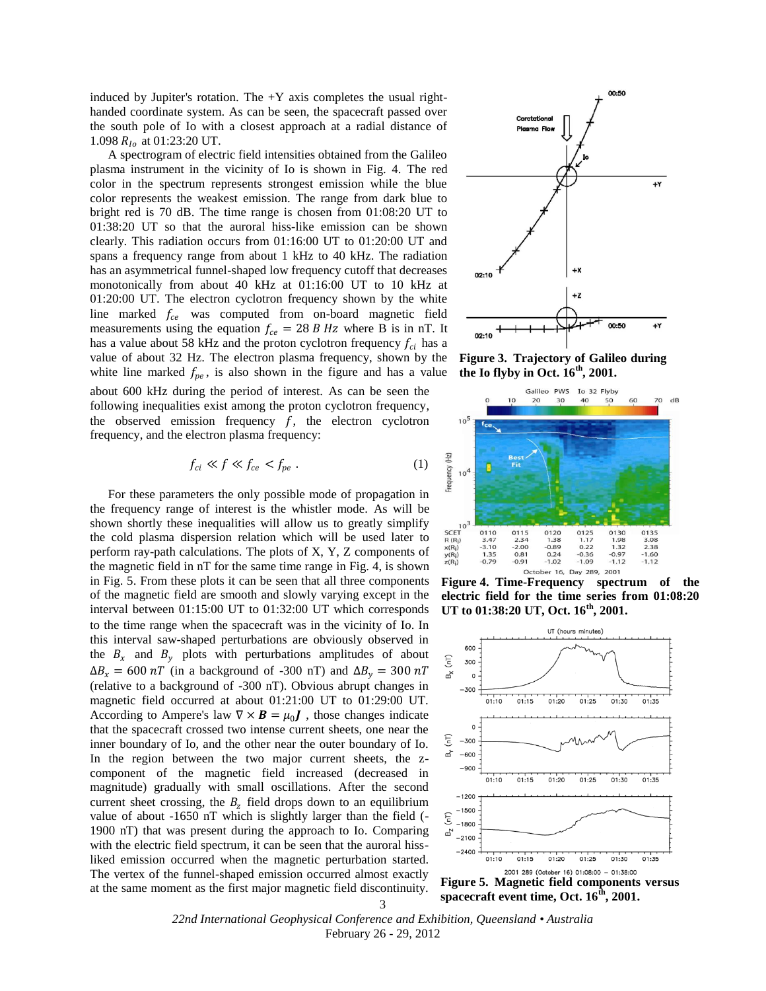induced by Jupiter's rotation. The  $+Y$  axis completes the usual righthanded coordinate system. As can be seen, the spacecraft passed over the south pole of Io with a closest approach at a radial distance of 1.098  $R_{I_0}$  at 01:23:20 UT.

A spectrogram of electric field intensities obtained from the Galileo plasma instrument in the vicinity of Io is shown in Fig. 4. The red color in the spectrum represents strongest emission while the blue color represents the weakest emission. The range from dark blue to bright red is 70 dB. The time range is chosen from 01:08:20 UT to 01:38:20 UT so that the auroral hiss-like emission can be shown clearly. This radiation occurs from 01:16:00 UT to 01:20:00 UT and spans a frequency range from about 1 kHz to 40 kHz. The radiation has an asymmetrical funnel-shaped low frequency cutoff that decreases monotonically from about 40 kHz at 01:16:00 UT to 10 kHz at 01:20:00 UT. The electron cyclotron frequency shown by the white line marked  $f_{ce}$  was computed from on-board magnetic field measurements using the equation  $f_{ce} = 28 B Hz$  where B is in nT. It has a value about 58 kHz and the proton cyclotron frequency  $f_{ci}$  has a value of about 32 Hz. The electron plasma frequency, shown by the white line marked  $f_{pe}$ , is also shown in the figure and has a value

about 600 kHz during the period of interest. As can be seen the following inequalities exist among the proton cyclotron frequency, the observed emission frequency  $f$ , the electron cyclotron frequency, and the electron plasma frequency:

$$
f_{ci} \ll f \ll f_{ce} < f_{pe} \tag{1}
$$

For these parameters the only possible mode of propagation in the frequency range of interest is the whistler mode. As will be shown shortly these inequalities will allow us to greatly simplify the cold plasma dispersion relation which will be used later to perform ray-path calculations. The plots of X, Y, Z components of the magnetic field in nT for the same time range in Fig. 4, is shown in Fig. 5. From these plots it can be seen that all three components of the magnetic field are smooth and slowly varying except in the interval between 01:15:00 UT to 01:32:00 UT which corresponds to the time range when the spacecraft was in the vicinity of Io. In this interval saw-shaped perturbations are obviously observed in the  $B_x$  and  $B_y$  plots with perturbations amplitudes of about  $\Delta B_x = 600 \text{ nT}$  (in a background of -300 nT) and  $\Delta B_y = 300 \text{ nT}$ (relative to a background of -300 nT). Obvious abrupt changes in magnetic field occurred at about 01:21:00 UT to 01:29:00 UT. According to Ampere's law  $\nabla \times \mathbf{B} = \mu_0 \mathbf{J}$ , those changes indicate that the spacecraft crossed two intense current sheets, one near the inner boundary of Io, and the other near the outer boundary of Io. In the region between the two major current sheets, the zcomponent of the magnetic field increased (decreased in magnitude) gradually with small oscillations. After the second current sheet crossing, the  $B_z$  field drops down to an equilibrium value of about -1650 nT which is slightly larger than the field (- 1900 nT) that was present during the approach to Io. Comparing with the electric field spectrum, it can be seen that the auroral hissliked emission occurred when the magnetic perturbation started. The vertex of the funnel-shaped emission occurred almost exactly at the same moment as the first major magnetic field discontinuity.



**Figure 3. Trajectory of Galileo during the Io flyby in Oct. 16th, 2001.**



**Figure 4. Time-Frequency spectrum of the electric field for the time series from 01:08:20 UT to 01:38:20 UT, Oct. 16th, 2001.**



**spacecraft event time, Oct. 16th, 2001.**

*22nd International Geophysical Conference and Exhibition, Queensland • Australia* February 26 - 29, 2012

#### 3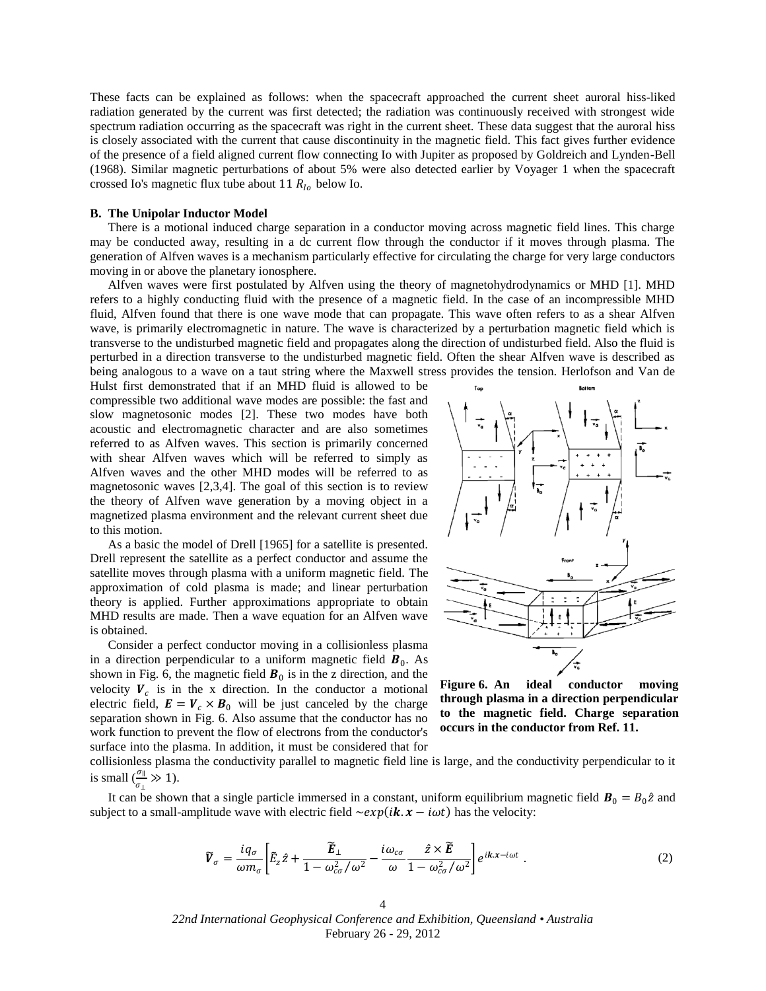These facts can be explained as follows: when the spacecraft approached the current sheet auroral hiss-liked radiation generated by the current was first detected; the radiation was continuously received with strongest wide spectrum radiation occurring as the spacecraft was right in the current sheet. These data suggest that the auroral hiss is closely associated with the current that cause discontinuity in the magnetic field. This fact gives further evidence of the presence of a field aligned current flow connecting Io with Jupiter as proposed by Goldreich and Lynden-Bell (1968). Similar magnetic perturbations of about 5% were also detected earlier by Voyager 1 when the spacecraft crossed Io's magnetic flux tube about 11  $R_{10}$  below Io.

#### **B. The Unipolar Inductor Model**

There is a motional induced charge separation in a conductor moving across magnetic field lines. This charge may be conducted away, resulting in a dc current flow through the conductor if it moves through plasma. The generation of Alfven waves is a mechanism particularly effective for circulating the charge for very large conductors moving in or above the planetary ionosphere.

Alfven waves were first postulated by Alfven using the theory of magnetohydrodynamics or MHD [1]. MHD refers to a highly conducting fluid with the presence of a magnetic field. In the case of an incompressible MHD fluid, Alfven found that there is one wave mode that can propagate. This wave often refers to as a shear Alfven wave, is primarily electromagnetic in nature. The wave is characterized by a perturbation magnetic field which is transverse to the undisturbed magnetic field and propagates along the direction of undisturbed field. Also the fluid is perturbed in a direction transverse to the undisturbed magnetic field. Often the shear Alfven wave is described as being analogous to a wave on a taut string where the Maxwell stress provides the tension. Herlofson and Van de

Hulst first demonstrated that if an MHD fluid is allowed to be compressible two additional wave modes are possible: the fast and slow magnetosonic modes [2]. These two modes have both acoustic and electromagnetic character and are also sometimes referred to as Alfven waves. This section is primarily concerned with shear Alfven waves which will be referred to simply as Alfven waves and the other MHD modes will be referred to as magnetosonic waves [2,3,4]. The goal of this section is to review the theory of Alfven wave generation by a moving object in a magnetized plasma environment and the relevant current sheet due to this motion.

As a basic the model of Drell [1965] for a satellite is presented. Drell represent the satellite as a perfect conductor and assume the satellite moves through plasma with a uniform magnetic field. The approximation of cold plasma is made; and linear perturbation theory is applied. Further approximations appropriate to obtain MHD results are made. Then a wave equation for an Alfven wave is obtained.

Consider a perfect conductor moving in a collisionless plasma in a direction perpendicular to a uniform magnetic field  $\mathbf{B}_0$ . As shown in Fig. 6, the magnetic field  $\mathbf{B}_0$  is in the z direction, and the velocity  $V_c$  is in the x direction. In the conductor a motional electric field,  $\mathbf{E} = \mathbf{V}_c \times \mathbf{B}_0$  will be just canceled by the charge separation shown in Fig. 6. Also assume that the conductor has no work function to prevent the flow of electrons from the conductor's surface into the plasma. In addition, it must be considered that for



**Figure 6. An ideal conductor moving through plasma in a direction perpendicular to the magnetic field. Charge separation occurs in the conductor from Ref. 11.**

collisionless plasma the conductivity parallel to magnetic field line is large, and the conductivity perpendicular to it is small  $\left(\frac{\sigma_{\parallel}}{2}\right)$  $\frac{\partial \parallel}{\partial \phi_{\perp}} \gg 1$ ).

It can be shown that a single particle immersed in a constant, uniform equilibrium magnetic field  $\mathbf{B}_0 = B_0 \hat{z}$  and subject to a small-amplitude wave with electric field  $\sim exp(i\mathbf{k} \cdot \mathbf{x} - i\omega t)$  has the velocity:

$$
\widetilde{V}_{\sigma} = \frac{i q_{\sigma}}{\omega m_{\sigma}} \left[ \widetilde{E}_{z} \hat{z} + \frac{\widetilde{E}_{\perp}}{1 - \omega_{c\sigma}^{2} / \omega^{2}} - \frac{i \omega_{c\sigma}}{\omega} \frac{\hat{z} \times \widetilde{E}}{1 - \omega_{c\sigma}^{2} / \omega^{2}} \right] e^{ikx - i\omega t} . \tag{2}
$$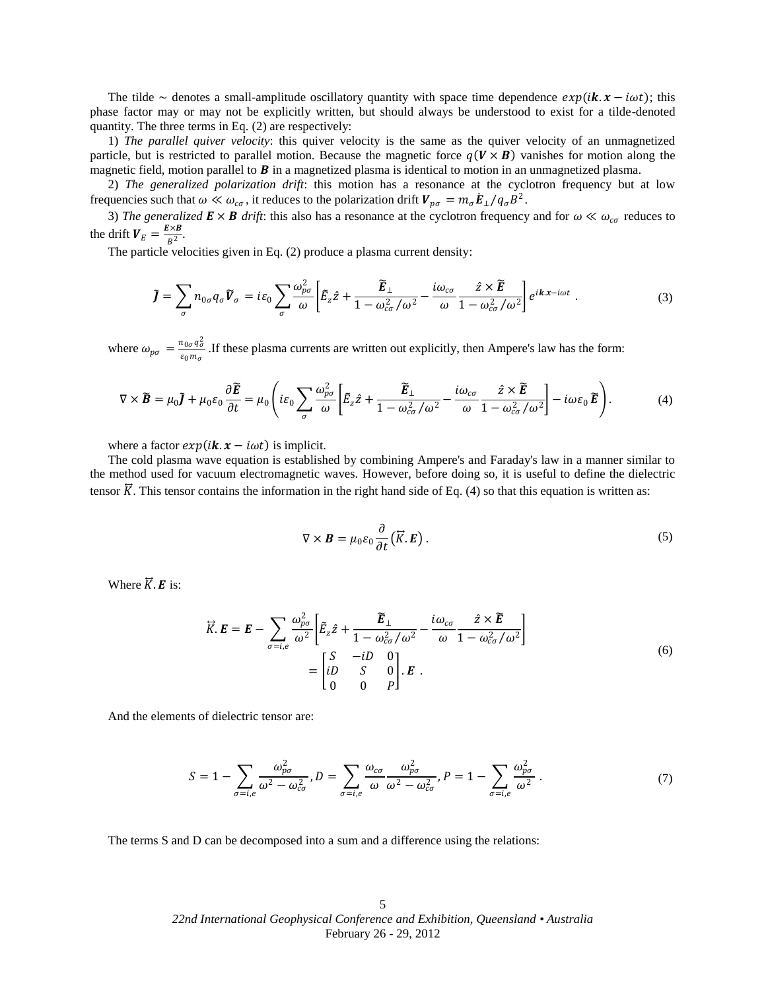The tilde ~ denotes a small-amplitude oscillatory quantity with space time dependence  $exp(i\mathbf{k} \cdot \mathbf{x} - i\omega t)$ ; this phase factor may or may not be explicitly written, but should always be understood to exist for a tilde-denoted quantity. The three terms in Eq. (2) are respectively:

1) *The parallel quiver velocity*: this quiver velocity is the same as the quiver velocity of an unmagnetized particle, but is restricted to parallel motion. Because the magnetic force  $q(V \times B)$  vanishes for motion along the magnetic field, motion parallel to  $\bm{B}$  in a magnetized plasma is identical to motion in an unmagnetized plasma.

2) *The generalized polarization drift*: this motion has a resonance at the cyclotron frequency but at low frequencies such that  $\omega \ll \omega_{c\sigma}$ , it reduces to the polarization drift  $V_{p\sigma} = m_{\sigma} \dot{E}_{\perp} / q_{\sigma} B^2$ .

3) The generalized  $E \times B$  drift: this also has a resonance at the cyclotron frequency and for  $\omega \ll \omega_{c\sigma}$  reduces to the drift  $V_E = \frac{E \times B}{R^2}$  $\frac{1}{B^2}$ .

The particle velocities given in Eq. (2) produce a plasma current density:

$$
\tilde{J} = \sum_{\sigma} n_{0\sigma} q_{\sigma} \tilde{V}_{\sigma} = i\varepsilon_0 \sum_{\sigma} \frac{\omega_{p\sigma}^2}{\omega} \left[ \tilde{E}_z \hat{z} + \frac{\tilde{E}_{\perp}}{1 - \omega_{c\sigma}^2 / \omega^2} - \frac{i\omega_{c\sigma}}{\omega} \frac{\hat{z} \times \tilde{E}}{1 - \omega_{c\sigma}^2 / \omega^2} \right] e^{ik.x - i\omega t} \tag{3}
$$

where  $\omega_{p\sigma} = \frac{n_{0\sigma}q_{\sigma}^2}{\epsilon_{\rm s}m}$  $\frac{u_{0\sigma}q_{\sigma}}{\varepsilon_0 m_{\sigma}}$ . If these plasma currents are written out explicitly, then Ampere's law has the form:

$$
\nabla \times \widetilde{\boldsymbol{B}} = \mu_0 \widetilde{\boldsymbol{J}} + \mu_0 \varepsilon_0 \frac{\partial \widetilde{\boldsymbol{E}}}{\partial t} = \mu_0 \left( i \varepsilon_0 \sum_{\sigma} \frac{\omega_{\rho \sigma}^2}{\omega} \left[ \widetilde{E}_z \hat{z} + \frac{\widetilde{\boldsymbol{E}}_{\perp}}{1 - \omega_{\sigma \sigma}^2 / \omega^2} - \frac{i \omega_{\sigma \sigma}}{\omega} \frac{\hat{z} \times \widetilde{\boldsymbol{E}}}{1 - \omega_{\sigma \sigma}^2 / \omega^2} \right] - i \omega \varepsilon_0 \widetilde{\boldsymbol{E}} \right). \tag{4}
$$

where a factor  $exp(i\mathbf{k} \cdot \mathbf{x} - i\omega t)$  is implicit.

The cold plasma wave equation is established by combining Ampere's and Faraday's law in a manner similar to the method used for vacuum electromagnetic waves. However, before doing so, it is useful to define the dielectric tensor  $\vec{K}$ . This tensor contains the information in the right hand side of Eq. (4) so that this equation is written as:

$$
\nabla \times \boldsymbol{B} = \mu_0 \varepsilon_0 \frac{\partial}{\partial t} (\vec{K} . \boldsymbol{E}) \,. \tag{5}
$$

Where  $\vec{K}$ . **E** is:

$$
\vec{K} \cdot \vec{E} = \vec{E} - \sum_{\sigma=i,e} \frac{\omega_{p\sigma}^2}{\omega^2} \left[ \tilde{E}_z \hat{z} + \frac{\tilde{E}_\perp}{1 - \omega_{c\sigma}^2 / \omega^2} - \frac{i\omega_{c\sigma}}{\omega} \frac{\hat{z} \times \tilde{E}}{1 - \omega_{c\sigma}^2 / \omega^2} \right]
$$

$$
= \begin{bmatrix} S & -iD & 0 \\ iD & S & 0 \\ 0 & 0 & P \end{bmatrix} \cdot \vec{E} \quad .
$$
(6)

And the elements of dielectric tensor are:

$$
S = 1 - \sum_{\sigma = i,e} \frac{\omega_{p\sigma}^2}{\omega^2 - \omega_{c\sigma}^2}, D = \sum_{\sigma = i,e} \frac{\omega_{c\sigma}}{\omega} \frac{\omega_{p\sigma}^2}{\omega^2 - \omega_{c\sigma}^2}, P = 1 - \sum_{\sigma = i,e} \frac{\omega_{p\sigma}^2}{\omega^2}.
$$
 (7)

The terms S and D can be decomposed into a sum and a difference using the relations: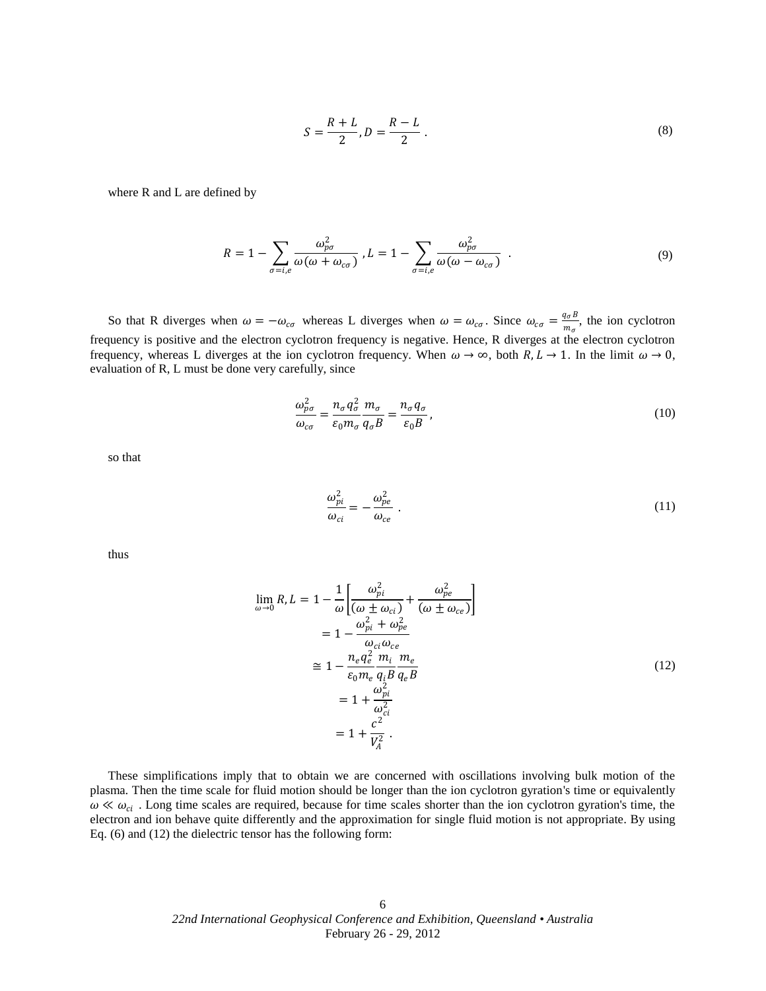$$
S = \frac{R + L}{2}, D = \frac{R - L}{2} \tag{8}
$$

where R and L are defined by

$$
R = 1 - \sum_{\sigma = i,e} \frac{\omega_{p\sigma}^2}{\omega(\omega + \omega_{c\sigma})}, L = 1 - \sum_{\sigma = i,e} \frac{\omega_{p\sigma}^2}{\omega(\omega - \omega_{c\sigma})}.
$$
(9)

So that R diverges when  $\omega = -\omega_{c\sigma}$  whereas L diverges when  $\omega = \omega_{c\sigma}$ . Since  $\omega_{c\sigma} = \frac{q_{\sigma}B}{m}$  $\frac{q_{\sigma}B}{m_{\sigma}}$ , the ion cyclotron frequency is positive and the electron cyclotron frequency is negative. Hence, R diverges at the electron cyclotron frequency, whereas L diverges at the ion cyclotron frequency. When  $\omega \to \infty$ , both  $R, L \to 1$ . In the limit  $\omega \to 0$ , evaluation of R, L must be done very carefully, since

$$
\frac{\omega_{p\sigma}^2}{\omega_{c\sigma}} = \frac{n_{\sigma}q_{\sigma}^2}{\varepsilon_0 m_{\sigma}} \frac{m_{\sigma}}{q_{\sigma}B} = \frac{n_{\sigma}q_{\sigma}}{\varepsilon_0 B},\tag{10}
$$

so that

$$
\frac{\omega_{pi}^2}{\omega_{ci}} = -\frac{\omega_{pe}^2}{\omega_{ce}}\ .
$$
\n(11)

thus

$$
\lim_{\omega \to 0} R, L = 1 - \frac{1}{\omega} \left[ \frac{\omega_{pi}^2}{(\omega \pm \omega_{ci})} + \frac{\omega_{pe}^2}{(\omega \pm \omega_{ce})} \right]
$$
\n
$$
= 1 - \frac{\omega_{pi}^2 + \omega_{pe}^2}{\omega_{ci} \omega_{ce}}
$$
\n
$$
\approx 1 - \frac{n_e q_e^2}{\epsilon_0 m_e} \frac{m_i}{q_i B} \frac{m_e}{q_e B}
$$
\n
$$
= 1 + \frac{\omega_{pi}^2}{\omega_{ci}^2}
$$
\n
$$
= 1 + \frac{c^2}{V_A^2}.
$$
\n(12)

These simplifications imply that to obtain we are concerned with oscillations involving bulk motion of the plasma. Then the time scale for fluid motion should be longer than the ion cyclotron gyration's time or equivalently  $\omega \ll \omega_{ci}$ . Long time scales are required, because for time scales shorter than the ion cyclotron gyration's time, the electron and ion behave quite differently and the approximation for single fluid motion is not appropriate. By using Eq. (6) and (12) the dielectric tensor has the following form: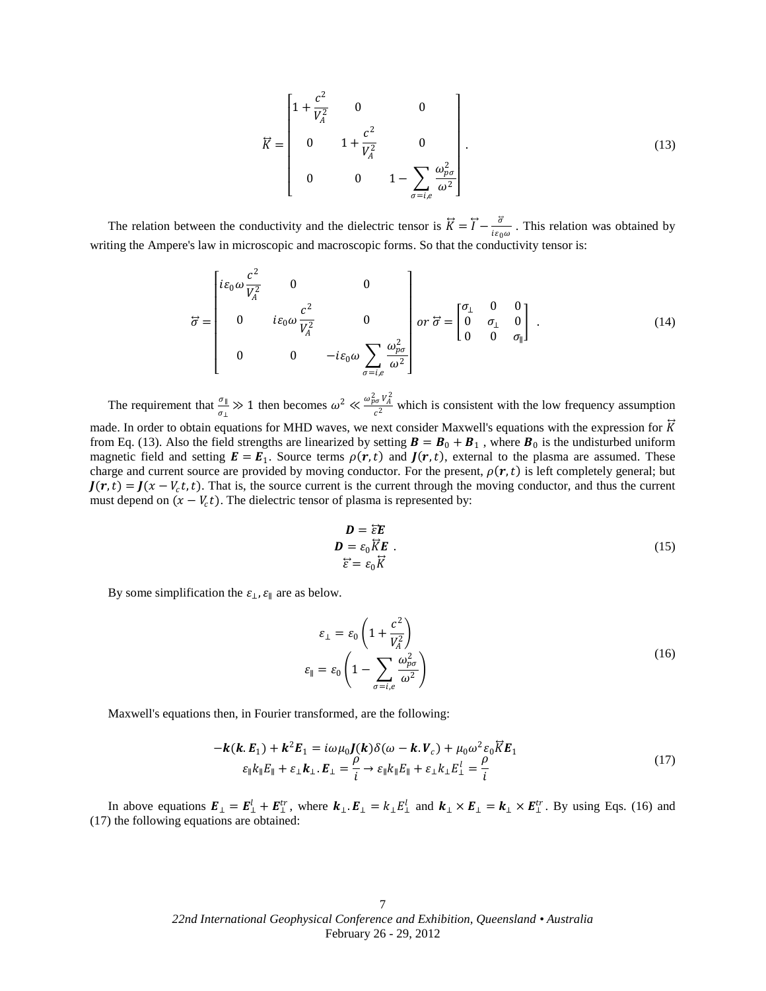$$
\vec{K} = \begin{bmatrix} 1 + \frac{c^2}{V_A^2} & 0 & 0 \\ 0 & 1 + \frac{c^2}{V_A^2} & 0 \\ 0 & 0 & 1 - \sum_{\sigma = i, e} \frac{\omega_{p\sigma}^2}{\omega^2} \end{bmatrix} .
$$
 (13)

The relation between the conductivity and the dielectric tensor is  $\vec{K} = \vec{I} - \frac{\vec{\sigma}}{I}$  $\frac{\partial}{\partial \epsilon_0 \omega}$ . This relation was obtained by writing the Ampere's law in microscopic and macroscopic forms. So that the conductivity tensor is:

$$
\vec{\sigma} = \begin{bmatrix} i\varepsilon_0 \omega \frac{c^2}{V_A^2} & 0 & 0 \\ 0 & i\varepsilon_0 \omega \frac{c^2}{V_A^2} & 0 \\ 0 & 0 & -i\varepsilon_0 \omega \sum_{\sigma=i,e} \frac{\omega_{\rho\sigma}^2}{\omega^2} \end{bmatrix} or \vec{\sigma} = \begin{bmatrix} \sigma_\perp & 0 & 0 \\ 0 & \sigma_\perp & 0 \\ 0 & 0 & \sigma_\parallel \end{bmatrix} . \tag{14}
$$

The requirement that  $\frac{\sigma_{\parallel}}{\sigma_{\perp}} \gg 1$  then becomes  $\omega^2 \ll \frac{\omega_{p\sigma}^2 V_A^2}{c^2}$  $\frac{\partial \sigma^* A}{\partial z^2}$  which is consistent with the low frequency assumption

made. In order to obtain equations for MHD waves, we next consider Maxwell's equations with the expression for  $\vec{K}$ from Eq. (13). Also the field strengths are linearized by setting  $\mathbf{B} = \mathbf{B}_0 + \mathbf{B}_1$ , where  $\mathbf{B}_0$  is the undisturbed uniform magnetic field and setting  $E = E_1$ . Source terms  $\rho(r, t)$  and  $J(r, t)$ , external to the plasma are assumed. These charge and current source are provided by moving conductor. For the present,  $\rho(r, t)$  is left completely general; but  $J(r, t) = J(x - V_c t, t)$ . That is, the source current is the current through the moving conductor, and thus the current must depend on  $(x - V_c t)$ . The dielectric tensor of plasma is represented by:

$$
\mathbf{D} = \overline{\varepsilon} \mathbf{E}
$$
  
\n
$$
\mathbf{D} = \varepsilon_0 \overline{K} \mathbf{E}
$$
  
\n
$$
\overline{\varepsilon}^2 = \varepsilon_0 \overline{K}
$$
 (15)

By some simplification the  $\varepsilon_{\perp}$ ,  $\varepsilon_{\parallel}$  are as below.

$$
\varepsilon_{\perp} = \varepsilon_0 \left( 1 + \frac{c^2}{V_A^2} \right)
$$
  

$$
\varepsilon_{\parallel} = \varepsilon_0 \left( 1 - \sum_{\sigma = i, e} \frac{\omega_{\rho \sigma}^2}{\omega^2} \right)
$$
 (16)

Maxwell's equations then, in Fourier transformed, are the following:

$$
-k(k.E1) + k2E1 = i\omega\mu_0 J(k)\delta(\omega - k.Vc) + \mu_0 \omega^2 \varepsilon_0 \overline{K}E_1
$$
  
\n
$$
\varepsilon_{\parallel} k_{\parallel} E_{\parallel} + \varepsilon_{\perp} k_{\perp}. E_{\perp} = \frac{\rho}{i} \rightarrow \varepsilon_{\parallel} k_{\parallel} E_{\parallel} + \varepsilon_{\perp} k_{\perp} E_{\perp}^l = \frac{\rho}{i}
$$
\n(17)

In above equations  $E_{\perp} = E_{\perp}^l + E_{\perp}^{tr}$ , where  $k_{\perp} \cdot E_{\perp} = k_{\perp} E_{\perp}^l$  and  $k_{\perp} \times E_{\perp} = k_{\perp} \times E_{\perp}^{tr}$ . By using Eqs. (16) and (17) the following equations are obtained: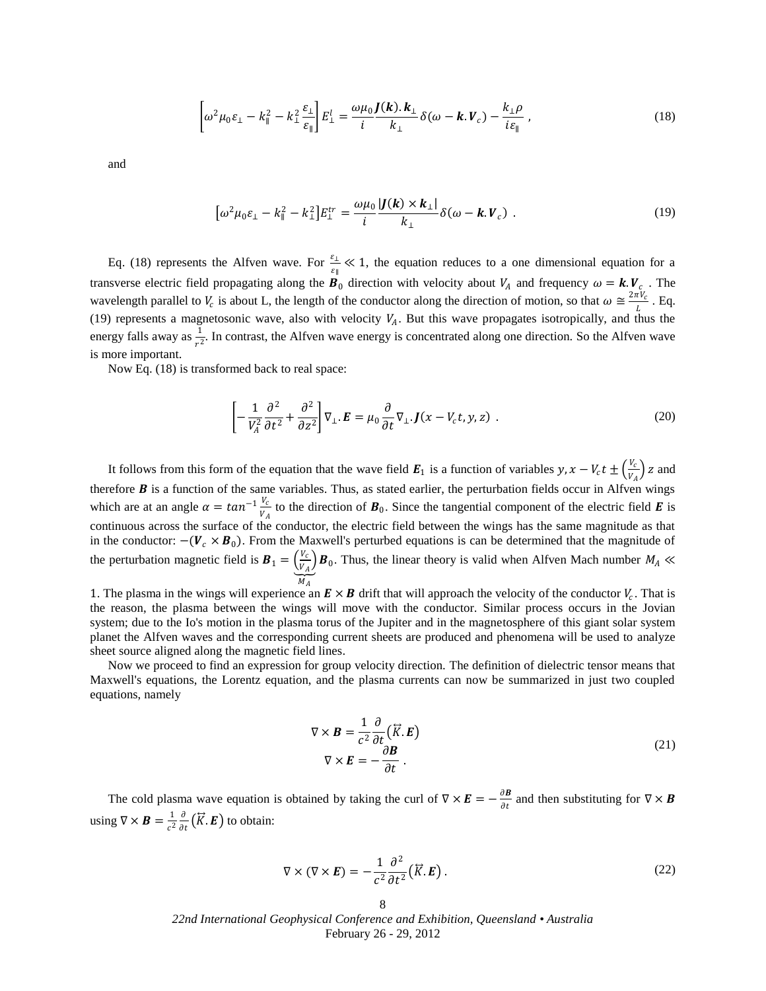$$
\left[\omega^2 \mu_0 \varepsilon_{\perp} - k_{\parallel}^2 - k_{\perp}^2 \frac{\varepsilon_{\perp}}{\varepsilon_{\parallel}}\right] E_{\perp}^l = \frac{\omega \mu_0}{i} \frac{J(k) \cdot k_{\perp}}{k_{\perp}} \delta(\omega - k \cdot V_c) - \frac{k_{\perp} \rho}{i \varepsilon_{\parallel}} \,, \tag{18}
$$

and

$$
\left[\omega^2 \mu_0 \varepsilon_{\perp} - k_{\parallel}^2 - k_{\perp}^2\right] E_{\perp}^{tr} = \frac{\omega \mu_0}{i} \frac{|J(\mathbf{k}) \times \mathbf{k}_{\perp}|}{k_{\perp}} \delta(\omega - \mathbf{k}.\mathbf{V}_c) \tag{19}
$$

Eq. (18) represents the Alfven wave. For  $\frac{\varepsilon_{\perp}}{\varepsilon_{\parallel}} \ll 1$ , the equation reduces to a one dimensional equation for a transverse electric field propagating along the  $B_0$  direction with velocity about  $V_A$  and frequency  $\omega = k. V_c$ . The wavelength parallel to  $V_c$  is about L, the length of the conductor along the direction of motion, so that  $\omega \cong \frac{2\pi V_c}{l}$  $\frac{V}{L}$ . Eq. (19) represents a magnetosonic wave, also with velocity  $V_A$ . But this wave propagates isotropically, and thus the energy falls away as  $\frac{1}{r^2}$ . In contrast, the Alfven wave energy is concentrated along one direction. So the Alfven wave is more important.

Now Eq. (18) is transformed back to real space:

$$
\left[ -\frac{1}{V_A^2} \frac{\partial^2}{\partial t^2} + \frac{\partial^2}{\partial z^2} \right] \nabla_{\perp} . \mathbf{E} = \mu_0 \frac{\partial}{\partial t} \nabla_{\perp} . \mathbf{J} (x - V_c t, y, z) \tag{20}
$$

It follows from this form of the equation that the wave field  $E_1$  is a function of variables  $y, x - V_c t \pm \left(\frac{V_c}{V_c}\right)$  $\frac{v_c}{V_A}$ ) z and therefore  $B$  is a function of the same variables. Thus, as stated earlier, the perturbation fields occur in Alfven wings which are at an angle  $\alpha = \tan^{-1} \frac{V_c}{V}$  $\frac{v_c}{v_A}$  to the direction of  $\mathbf{B}_0$ . Since the tangential component of the electric field  $\mathbf{E}$  is continuous across the surface of the conductor, the electric field between the wings has the same magnitude as that in the conductor:  $-(V_c \times B_0)$ . From the Maxwell's perturbed equations is can be determined that the magnitude of the perturbation magnetic field is  $\mathbf{B}_1 = \left(\frac{V_c}{V_c}\right)$  $\left(\frac{v_c}{v_A}\right)$  **B**<sub>0</sub>. Thus, the linear theory is valid when Alfven Mach number  $M_A \ll$  $M_A$ 

1. The plasma in the wings will experience an  $E \times B$  drift that will approach the velocity of the conductor  $V_c$ . That is the reason, the plasma between the wings will move with the conductor. Similar process occurs in the Jovian system; due to the Io's motion in the plasma torus of the Jupiter and in the magnetosphere of this giant solar system planet the Alfven waves and the corresponding current sheets are produced and phenomena will be used to analyze sheet source aligned along the magnetic field lines.

Now we proceed to find an expression for group velocity direction. The definition of dielectric tensor means that Maxwell's equations, the Lorentz equation, and the plasma currents can now be summarized in just two coupled equations, namely

$$
\nabla \times \mathbf{B} = \frac{1}{c^2} \frac{\partial}{\partial t} (\vec{K} . \mathbf{E})
$$
  
 
$$
\nabla \times \mathbf{E} = -\frac{\partial \mathbf{B}}{\partial t} .
$$
 (21)

The cold plasma wave equation is obtained by taking the curl of  $\nabla \times \vec{E} = -\frac{\partial \vec{B}}{\partial x}$  $\frac{\partial \mathbf{B}}{\partial t}$  and then substituting for  $\nabla \times \mathbf{B}$ using  $\nabla \times \mathbf{B} = \frac{1}{2}$  $c<sup>2</sup>$ д  $\frac{\partial}{\partial t}(\vec{K}.\vec{E})$  to obtain:

$$
\nabla \times (\nabla \times \mathbf{E}) = -\frac{1}{c^2} \frac{\partial^2}{\partial t^2} (\vec{K} . \mathbf{E}).
$$
 (22)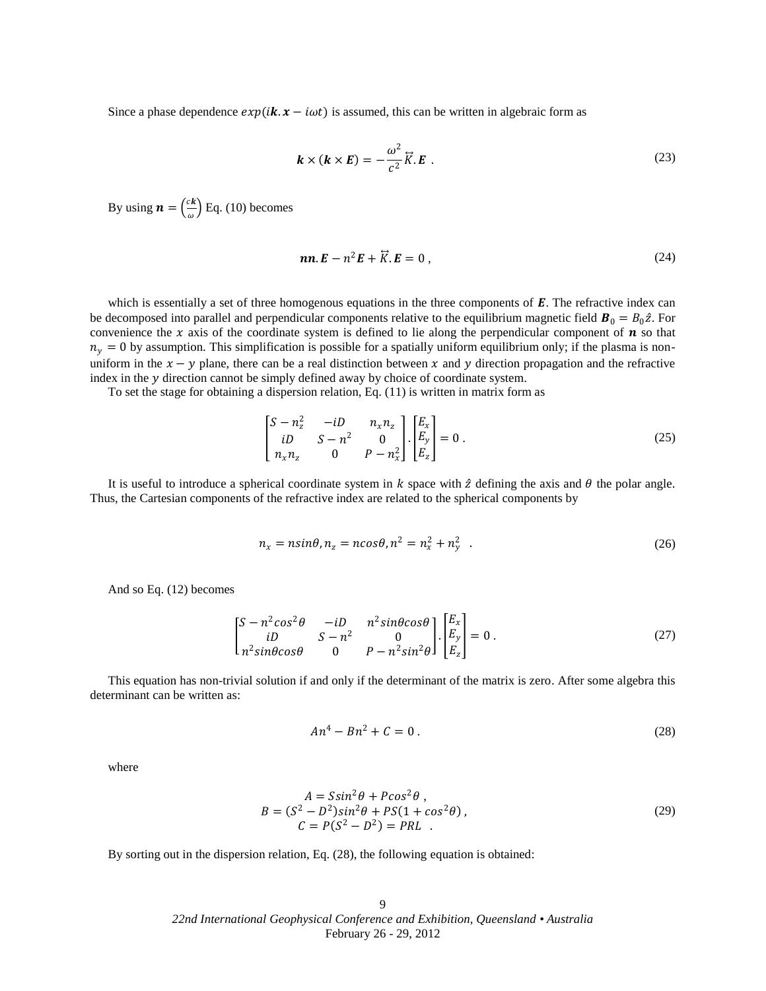Since a phase dependence  $exp(i\mathbf{k} \cdot \mathbf{x} - i\omega t)$  is assumed, this can be written in algebraic form as

$$
\mathbf{k} \times (\mathbf{k} \times \mathbf{E}) = -\frac{\omega^2}{c^2} \overrightarrow{K} . \mathbf{E} \tag{23}
$$

By using  $\boldsymbol{n} = \left(\frac{c\boldsymbol{k}}{c}\right)$  $\left(\frac{\epsilon \kappa}{\omega}\right)$  Eq. (10) becomes

$$
nn. E - n2 E + \overline{K}. E = 0,
$$
\n(24)

which is essentially a set of three homogenous equations in the three components of  $E$ . The refractive index can be decomposed into parallel and perpendicular components relative to the equilibrium magnetic field  $\mathbf{B}_0 = B_0 \hat{z}$ . For convenience the x axis of the coordinate system is defined to lie along the perpendicular component of  $\bm{n}$  so that  $n<sub>y</sub> = 0$  by assumption. This simplification is possible for a spatially uniform equilibrium only; if the plasma is nonuniform in the  $x - y$  plane, there can be a real distinction between x and y direction propagation and the refractive index in the  $y$  direction cannot be simply defined away by choice of coordinate system.

To set the stage for obtaining a dispersion relation, Eq. (11) is written in matrix form as

$$
\begin{bmatrix} S - n_z^2 & -iD & n_x n_z \ iD & S - n^2 & 0 \ n_x n_z & 0 & P - n_x^2 \end{bmatrix} \cdot \begin{bmatrix} E_x \\ E_y \\ E_z \end{bmatrix} = 0.
$$
 (25)

It is useful to introduce a spherical coordinate system in  $k$  space with  $\hat{z}$  defining the axis and  $\theta$  the polar angle. Thus, the Cartesian components of the refractive index are related to the spherical components by

$$
n_x = n\sin\theta, n_z = n\cos\theta, n^2 = n_x^2 + n_y^2
$$
 (26)

And so Eq. (12) becomes

$$
\begin{bmatrix} S - n^2 \cos^2 \theta & -iD & n^2 \sin \theta \cos \theta \\ iD & S - n^2 & 0 \\ n^2 \sin \theta \cos \theta & 0 & P - n^2 \sin^2 \theta \end{bmatrix} \cdot \begin{bmatrix} E_x \\ E_y \\ E_z \end{bmatrix} = 0.
$$
 (27)

This equation has non-trivial solution if and only if the determinant of the matrix is zero. After some algebra this determinant can be written as:

$$
An^4 - Bn^2 + C = 0.
$$
 (28)

where

$$
A = S\sin^2\theta + P\cos^2\theta,
$$
  
\n
$$
B = (S^2 - D^2)\sin^2\theta + PS(1 + \cos^2\theta),
$$
  
\n
$$
C = P(S^2 - D^2) = PRL.
$$
\n(29)

By sorting out in the dispersion relation, Eq. (28), the following equation is obtained: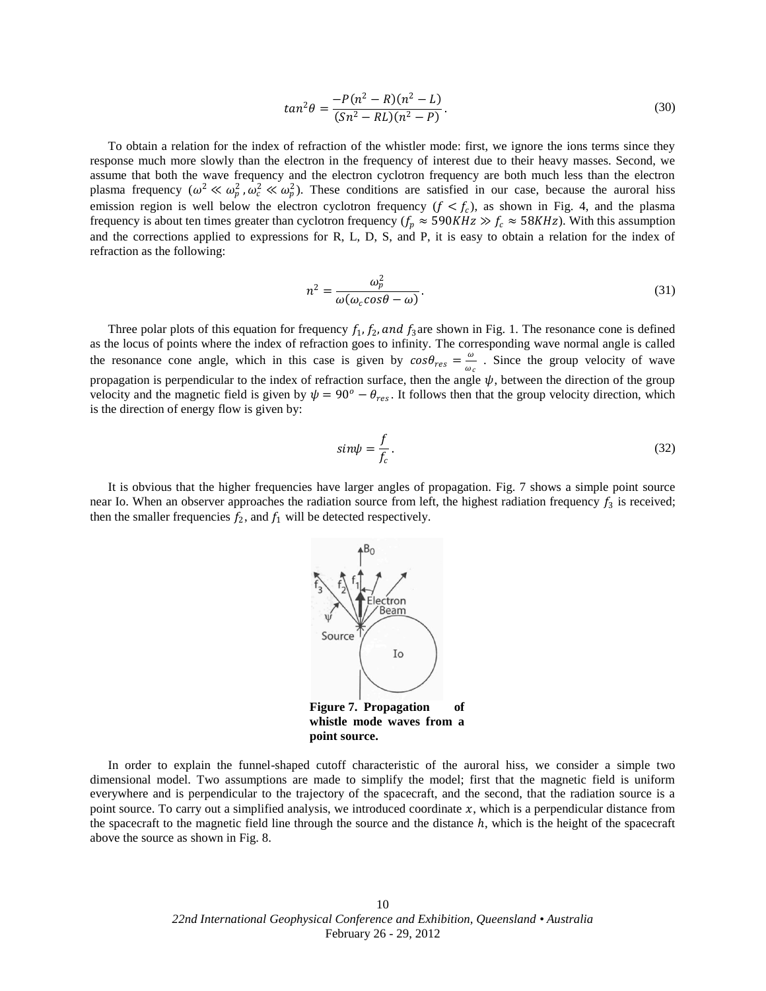$$
tan^2 \theta = \frac{-P(n^2 - R)(n^2 - L)}{(Sn^2 - RL)(n^2 - P)}.
$$
\n(30)

To obtain a relation for the index of refraction of the whistler mode: first, we ignore the ions terms since they response much more slowly than the electron in the frequency of interest due to their heavy masses. Second, we assume that both the wave frequency and the electron cyclotron frequency are both much less than the electron plasma frequency  $(\omega^2 \ll \omega_p^2, \omega_c^2 \ll \omega_p^2)$ . These conditions are satisfied in our case, because the auroral hiss emission region is well below the electron cyclotron frequency  $(f < f_c)$ , as shown in Fig. 4, and the plasma frequency is about ten times greater than cyclotron frequency ( $f_p \approx 590KHz \gg f_c \approx 58KHz$ ). With this assumption and the corrections applied to expressions for R, L, D, S, and P, it is easy to obtain a relation for the index of refraction as the following:

$$
n^2 = \frac{\omega_p^2}{\omega(\omega_c \cos \theta - \omega)}.
$$
\n(31)

Three polar plots of this equation for frequency  $f_1, f_2,$  and  $f_3$  are shown in Fig. 1. The resonance cone is defined as the locus of points where the index of refraction goes to infinity. The corresponding wave normal angle is called the resonance cone angle, which in this case is given by  $cos\theta_{res} = \frac{\omega}{\omega}$  $\frac{\omega}{\omega_c}$ . Since the group velocity of wave propagation is perpendicular to the index of refraction surface, then the angle  $\psi$ , between the direction of the group velocity and the magnetic field is given by  $\psi = 90^\circ - \theta_{res}$ . It follows then that the group velocity direction, which is the direction of energy flow is given by:

$$
sin\psi = \frac{f}{f_c}.
$$
\n(32)

It is obvious that the higher frequencies have larger angles of propagation. Fig. 7 shows a simple point source near Io. When an observer approaches the radiation source from left, the highest radiation frequency  $f_3$  is received; then the smaller frequencies  $f_2$ , and  $f_1$  will be detected respectively.



In order to explain the funnel-shaped cutoff characteristic of the auroral hiss, we consider a simple two dimensional model. Two assumptions are made to simplify the model; first that the magnetic field is uniform everywhere and is perpendicular to the trajectory of the spacecraft, and the second, that the radiation source is a point source. To carry out a simplified analysis, we introduced coordinate  $x$ , which is a perpendicular distance from the spacecraft to the magnetic field line through the source and the distance  $h$ , which is the height of the spacecraft above the source as shown in Fig. 8.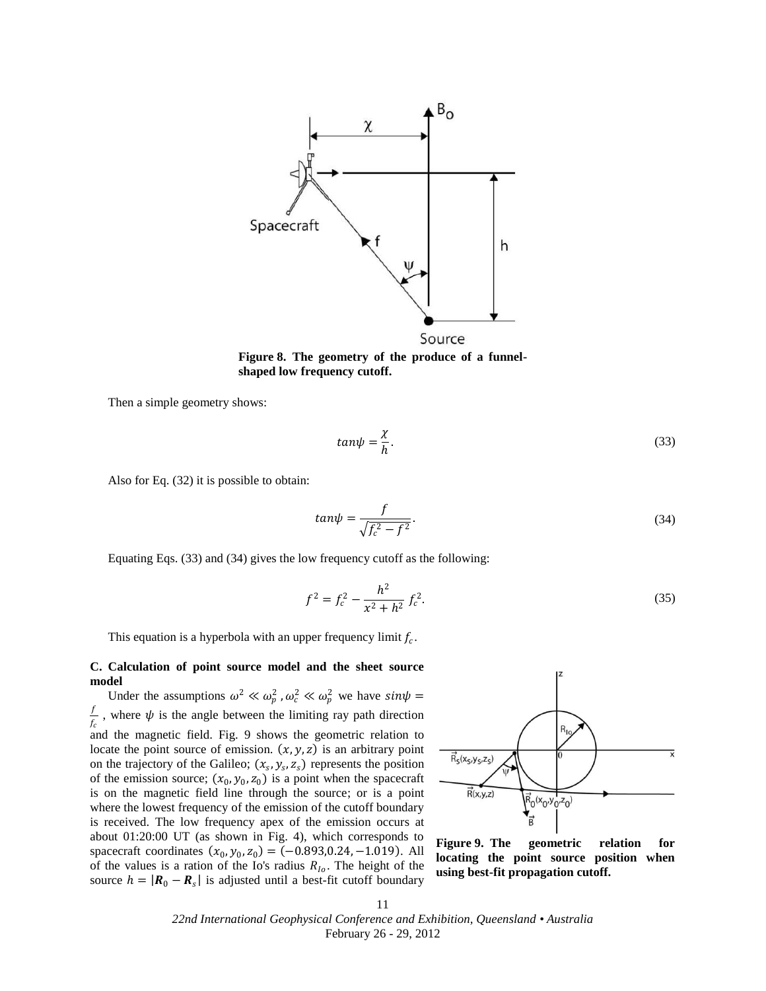

**Figure 8. The geometry of the produce of a funnelshaped low frequency cutoff.**

Then a simple geometry shows:

$$
tan\psi = \frac{\chi}{h}.
$$
\n(33)

Also for Eq. (32) it is possible to obtain:

$$
tan\psi = \frac{f}{\sqrt{f_c^2 - f^2}}.
$$
\n(34)

Equating Eqs. (33) and (34) gives the low frequency cutoff as the following:

$$
f^2 = f_c^2 - \frac{h^2}{x^2 + h^2} f_c^2.
$$
 (35)

This equation is a hyperbola with an upper frequency limit  $f_c$ .

#### **C. Calculation of point source model and the sheet source model**

Under the assumptions  $\omega^2 \ll \omega_p^2$ ,  $\omega_c^2 \ll \omega_p^2$  we have  $sin\psi =$ f  $\frac{1}{f_c}$ , where  $\psi$  is the angle between the limiting ray path direction and the magnetic field. Fig. 9 shows the geometric relation to locate the point source of emission.  $(x, y, z)$  is an arbitrary point on the trajectory of the Galileo;  $(x_s, y_s, z_s)$  represents the position of the emission source;  $(x_0, y_0, z_0)$  is a point when the spacecraft is on the magnetic field line through the source; or is a point where the lowest frequency of the emission of the cutoff boundary is received. The low frequency apex of the emission occurs at about 01:20:00 UT (as shown in Fig. 4), which corresponds to spacecraft coordinates  $(x_0, y_0, z_0) = (-0.893, 0.24, -1.019)$ . All of the values is a ration of the Io's radius  $R_{10}$ . The height of the source  $h = |\mathbf{R}_0 - \mathbf{R}_s|$  is adjusted until a best-fit cutoff boundary



**Figure 9. The geometric relation for locating the point source position when using best-fit propagation cutoff.**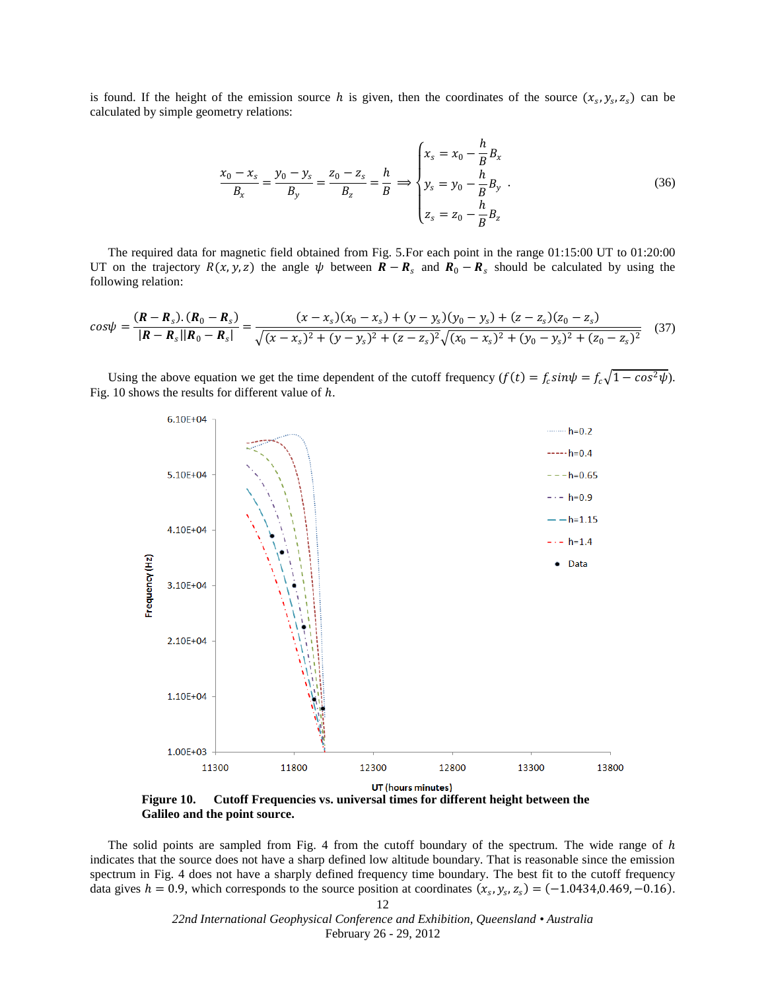is found. If the height of the emission source h is given, then the coordinates of the source  $(x_s, y_s, z_s)$  can be calculated by simple geometry relations:

$$
\frac{x_0 - x_s}{B_x} = \frac{y_0 - y_s}{B_y} = \frac{z_0 - z_s}{B_z} = \frac{h}{B} \implies \begin{cases} x_s = x_0 - \frac{h}{B} B_x \\ y_s = y_0 - \frac{h}{B} B_y \\ z_s = z_0 - \frac{h}{B} B_z \end{cases}
$$
(36)

The required data for magnetic field obtained from Fig. 5.For each point in the range 01:15:00 UT to 01:20:00 UT on the trajectory  $R(x, y, z)$  the angle  $\psi$  between  $R - R_s$  and  $R_0 - R_s$  should be calculated by using the following relation:

$$
cos\psi = \frac{(\mathbf{R} - \mathbf{R}_s) \cdot (\mathbf{R}_0 - \mathbf{R}_s)}{|\mathbf{R} - \mathbf{R}_s||\mathbf{R}_0 - \mathbf{R}_s|} = \frac{(x - x_s)(x_0 - x_s) + (y - y_s)(y_0 - y_s) + (z - z_s)(z_0 - z_s)}{\sqrt{(x - x_s)^2 + (y - y_s)^2 + (z - z_s)^2} \sqrt{(x_0 - x_s)^2 + (y_0 - y_s)^2 + (z_0 - z_s)^2}}
$$
(37)

Using the above equation we get the time dependent of the cutoff frequency  $(f(t) = f_c \sin \psi = f_c \sqrt{1 - \cos^2 \psi}$ . Fig. 10 shows the results for different value of ℎ.



**Figure 10. Cutoff Frequencies vs. universal times for different height between the Galileo and the point source.**

The solid points are sampled from Fig. 4 from the cutoff boundary of the spectrum. The wide range of  $h$ indicates that the source does not have a sharp defined low altitude boundary. That is reasonable since the emission spectrum in Fig. 4 does not have a sharply defined frequency time boundary. The best fit to the cutoff frequency data gives  $h = 0.9$ , which corresponds to the source position at coordinates  $(x_s, y_s, z_s) = (-1.0434, 0.469, -0.16)$ .

> *22nd International Geophysical Conference and Exhibition, Queensland • Australia* February 26 - 29, 2012

12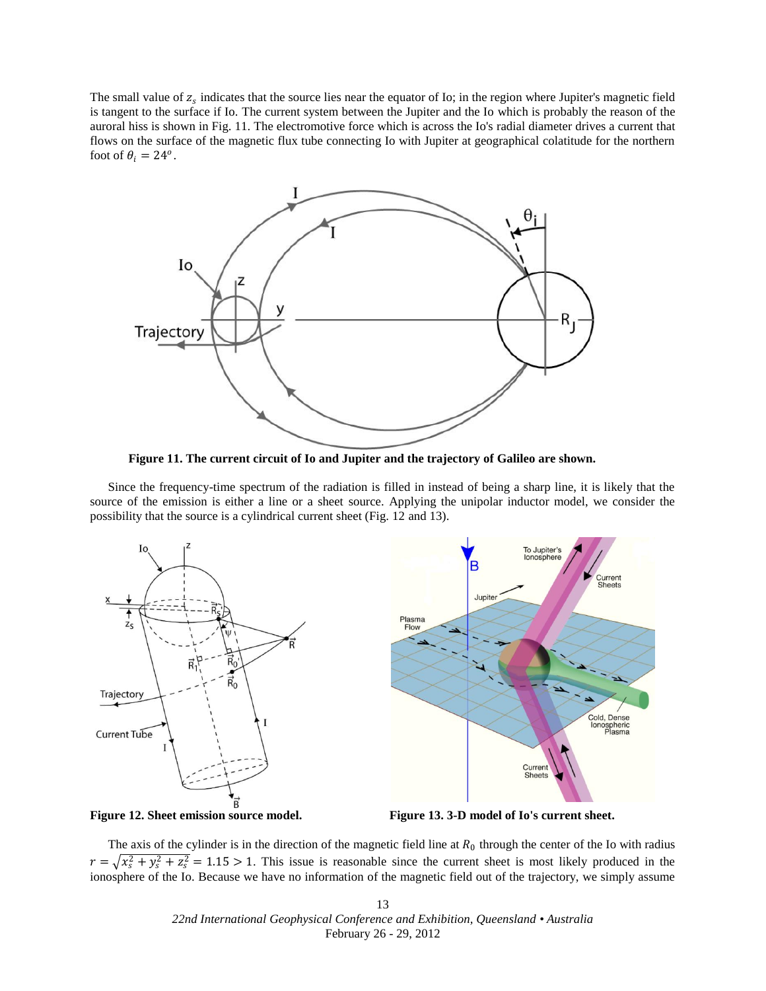The small value of  $z_s$  indicates that the source lies near the equator of Io; in the region where Jupiter's magnetic field is tangent to the surface if Io. The current system between the Jupiter and the Io which is probably the reason of the auroral hiss is shown in Fig. 11. The electromotive force which is across the Io's radial diameter drives a current that flows on the surface of the magnetic flux tube connecting Io with Jupiter at geographical colatitude for the northern foot of  $\theta_i = 24^o$ .



**Figure 11. The current circuit of Io and Jupiter and the trajectory of Galileo are shown.**

Since the frequency-time spectrum of the radiation is filled in instead of being a sharp line, it is likely that the source of the emission is either a line or a sheet source. Applying the unipolar inductor model, we consider the possibility that the source is a cylindrical current sheet (Fig. 12 and 13).





**Figure 12. Sheet emission source model. Figure 13. 3-D model of Io's current sheet.**

The axis of the cylinder is in the direction of the magnetic field line at  $R_0$  through the center of the Io with radius  $r = \sqrt{x_s^2 + y_s^2 + z_s^2} = 1.15 > 1$ . This issue is reasonable since the current sheet is most likely produced in the ionosphere of the Io. Because we have no information of the magnetic field out of the trajectory, we simply assume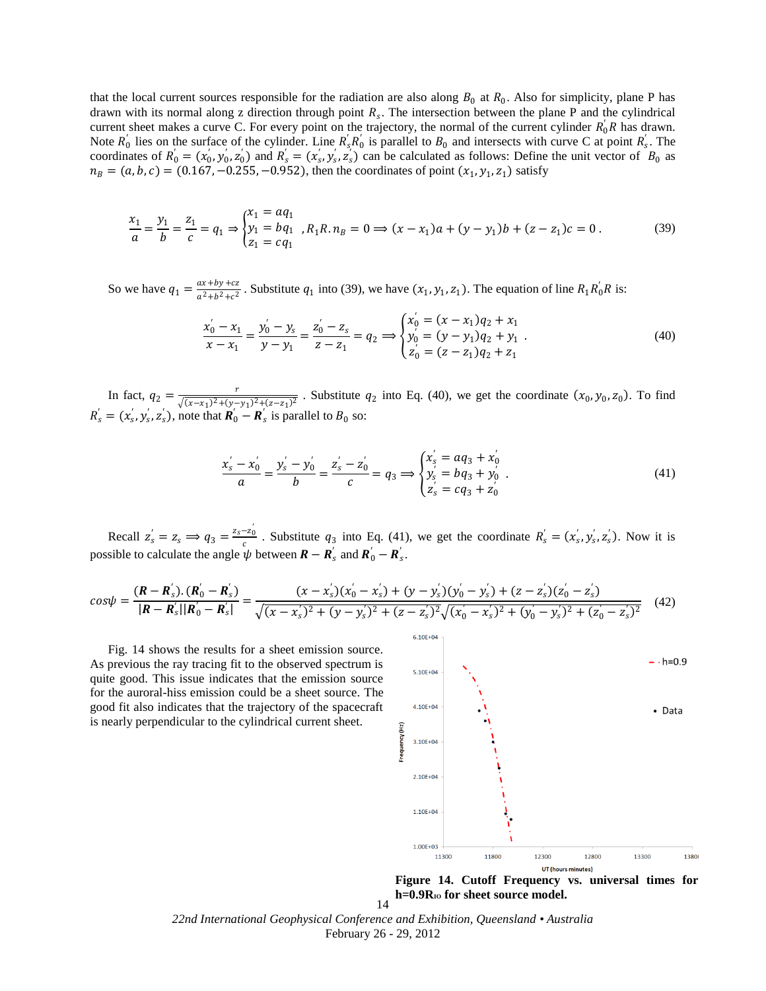that the local current sources responsible for the radiation are also along  $B_0$  at  $R_0$ . Also for simplicity, plane P has drawn with its normal along z direction through point  $R_s$ . The intersection between the plane P and the cylindrical current sheet makes a curve C. For every point on the trajectory, the normal of the current cylinder  $R_0'R$  has drawn. Note  $R'_0$  lies on the surface of the cylinder. Line  $R'_s R'_0$  is parallel to  $B_0$  and intersects with curve C at point  $R'_s$ . The coordinates of  $R'_0 = (x'_0, y'_0, z'_0)$  and  $R'_s = (x'_s, y'_s, z'_s)$  can be calculated as follows: Define the unit vector of  $B_0$  as  $n_B = (a, b, c) = (0.167, -0.255, -0.952)$ , then the coordinates of point  $(x_1, y_1, z_1)$  satisfy

$$
\frac{x_1}{a} = \frac{y_1}{b} = \frac{z_1}{c} = q_1 \Rightarrow \begin{cases} x_1 = aq_1 \\ y_1 = bq_1 \\ z_1 = cq_1 \end{cases}, R_1R.n_B = 0 \Rightarrow (x - x_1)a + (y - y_1)b + (z - z_1)c = 0. \tag{39}
$$

So we have  $q_1 = \frac{ax + by + cz}{a^2 + b^2 + c^2}$  $\frac{ax+by+cz}{a^2+b^2+c^2}$ . Substitute  $q_1$  into (39), we have  $(x_1, y_1, z_1)$ . The equation of line  $R_1R_0'R$  is:

$$
\frac{x'_0 - x_1}{x - x_1} = \frac{y'_0 - y_s}{y - y_1} = \frac{z'_0 - z_s}{z - z_1} = q_2 \Longrightarrow \begin{cases} x'_0 = (x - x_1)q_2 + x_1 \\ y'_0 = (y - y_1)q_2 + y_1 \\ z'_0 = (z - z_1)q_2 + z_1 \end{cases} \tag{40}
$$

In fact,  $q_2 = \frac{r}{\sqrt{(x-x_1)^2+(y_2)^2}}$  $\frac{1}{\sqrt{(x-x_1)^2+(y-y_1)^2+(z-z_1)^2}}$ . Substitute  $q_2$  into Eq. (40), we get the coordinate  $(x_0, y_0, z_0)$ . To find  $R'_{s} = (x'_{s}, y'_{s}, z'_{s})$ , note that  $\mathbf{R}'_{0} - \mathbf{R}'_{s}$  is parallel to  $B_{0}$  so:

$$
\frac{x'_s - x'_0}{a} = \frac{y'_s - y'_0}{b} = \frac{z'_s - z'_0}{c} = q_3 \Longrightarrow \begin{cases} x'_s = aq_3 + x'_0\\ y'_s = bq_3 + y'_0\\ z'_s = cq_3 + z'_0 \end{cases} \tag{41}
$$

Recall  $z'_s = z_s \implies q_3 = \frac{z_s - z'_0}{s}$  $\frac{-z_0}{c}$ . Substitute  $q_3$  into Eq. (41), we get the coordinate  $R'_s = (x'_s, y'_s, z'_s)$ . Now it is possible to calculate the angle  $\psi$  between  $\mathbf{R} - \mathbf{R}'_s$  and  $\mathbf{R}'_0 - \mathbf{R}'_s$ .

$$
cos\psi = \frac{(\mathbf{R} - \mathbf{R}'_s) \cdot (\mathbf{R}'_0 - \mathbf{R}'_s)}{|\mathbf{R} - \mathbf{R}'_s||\mathbf{R}'_0 - \mathbf{R}'_s|} = \frac{(x - x'_s)(x'_0 - x'_s) + (y - y'_s)(y'_0 - y'_s) + (z - z'_s)(z'_0 - z'_s)}{\sqrt{(x - x'_s)^2 + (y - y'_s)^2 + (z - z'_s)^2} \sqrt{(x'_0 - x'_s)^2 + (y'_0 - y'_s)^2 + (z'_0 - z'_s)^2}}
$$
(42)

Fig. 14 shows the results for a sheet emission source. As previous the ray tracing fit to the observed spectrum is quite good. This issue indicates that the emission source for the auroral-hiss emission could be a sheet source. The good fit also indicates that the trajectory of the spacecraft is nearly perpendicular to the cylindrical current sheet.



**Figure 14. Cutoff Frequency vs. universal times for**  h=0.9R<sup>IO</sup> for sheet source model.